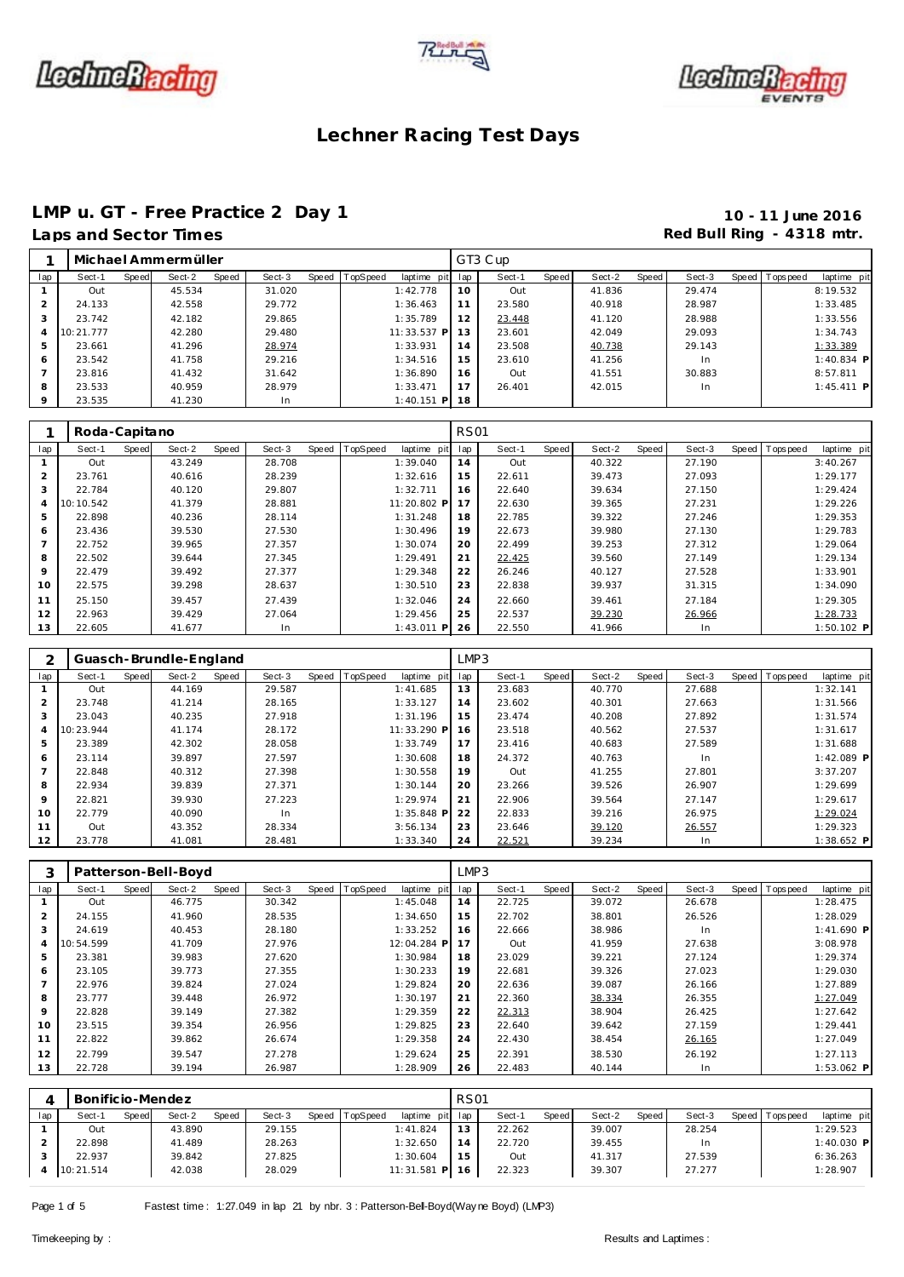





## **LMP u. GT - Free Practice 2 Day 1 10 - 11 June 2016**

## Red Bull Ring - 4318 mtr.

| Laps and Sector Times |  |
|-----------------------|--|
|-----------------------|--|

|         |           |       | Michael Ammermüller |       |        |       |          |               |     | GT3 Cup |       |        |       |        |                 |              |
|---------|-----------|-------|---------------------|-------|--------|-------|----------|---------------|-----|---------|-------|--------|-------|--------|-----------------|--------------|
| lap     | Sect-1    | Speed | Sect-2              | Speed | Sect-3 | Speed | TopSpeed | laptime pit   | lap | Sect-1  | Speed | Sect-2 | Speed | Sect-3 | Speed Tops peed | laptime pit  |
|         | Out       |       | 45.534              |       | 31.020 |       |          | 1:42.778      | 10  | Out     |       | 41.836 |       | 29.474 |                 | 8:19.532     |
|         | 24.133    |       | 42.558              |       | 29.772 |       |          | 1:36.463      | 11  | 23.580  |       | 40.918 |       | 28.987 |                 | 1:33.485     |
|         | 23.742    |       | 42.182              |       | 29.865 |       |          | 1:35.789      | 12  | 23.448  |       | 41.120 |       | 28.988 |                 | 1:33.556     |
|         | 10:21.777 |       | 42.280              |       | 29.480 |       |          | 11:33.537 P   | 13  | 23.601  |       | 42.049 |       | 29.093 |                 | 1:34.743     |
| 5       | 23.661    |       | 41.296              |       | 28.974 |       |          | 1:33.931      | 14  | 23.508  |       | 40.738 |       | 29.143 |                 | 1:33.389     |
| 6       | 23.542    |       | 41.758              |       | 29.216 |       |          | 1:34.516      | 15  | 23.610  |       | 41.256 |       | In     |                 | $1:40.834$ P |
|         | 23.816    |       | 41.432              |       | 31.642 |       |          | 1:36.890      | 16  | Out     |       | 41.551 |       | 30.883 |                 | 8:57.811     |
| 8       | 23.533    |       | 40.959              |       | 28.979 |       |          | 1:33.471      | 17  | 26.401  |       | 42.015 |       | In     |                 | $1:45.411$ P |
| $\circ$ | 23.535    |       | 41.230              |       | In     |       |          | $1:40.151$ PI | 18  |         |       |        |       |        |                 |              |

|                | Roda-Capitano |       |        |       |        |       |          |              | <b>RS01</b> |        |       |        |       |        |                |              |
|----------------|---------------|-------|--------|-------|--------|-------|----------|--------------|-------------|--------|-------|--------|-------|--------|----------------|--------------|
| lap            | Sect-1        | Speed | Sect-2 | Speed | Sect-3 | Speed | TopSpeed | laptime pit  | lap         | Sect-1 | Speed | Sect-2 | Speed | Sect-3 | Speed Topspeed | laptime pit  |
|                | Out           |       | 43.249 |       | 28.708 |       |          | 1:39.040     | 14          | Out    |       | 40.322 |       | 27.190 |                | 3:40.267     |
| $\overline{2}$ | 23.761        |       | 40.616 |       | 28.239 |       |          | 1:32.616     | 15          | 22.611 |       | 39.473 |       | 27.093 |                | 1:29.177     |
| 3              | 22.784        |       | 40.120 |       | 29.807 |       |          | 1:32.711     | 16          | 22.640 |       | 39.634 |       | 27.150 |                | 1:29.424     |
| 4              | 10:10.542     |       | 41.379 |       | 28.881 |       |          | 11:20.802 P  | 17          | 22.630 |       | 39.365 |       | 27.231 |                | 1:29.226     |
| 5              | 22.898        |       | 40.236 |       | 28.114 |       |          | 1:31.248     | 18          | 22.785 |       | 39.322 |       | 27.246 |                | 1:29.353     |
| 6              | 23.436        |       | 39.530 |       | 27.530 |       |          | 1:30.496     | 19          | 22.673 |       | 39.980 |       | 27.130 |                | 1:29.783     |
|                | 22.752        |       | 39.965 |       | 27.357 |       |          | 1:30.074     | 20          | 22.499 |       | 39.253 |       | 27.312 |                | 1:29.064     |
| 8              | 22.502        |       | 39.644 |       | 27.345 |       |          | 1:29.491     | 21          | 22.425 |       | 39.560 |       | 27.149 |                | 1:29.134     |
| 9              | 22.479        |       | 39.492 |       | 27.377 |       |          | 1:29.348     | 22          | 26.246 |       | 40.127 |       | 27.528 |                | 1:33.901     |
| 10             | 22.575        |       | 39.298 |       | 28.637 |       |          | 1:30.510     | 23          | 22.838 |       | 39.937 |       | 31.315 |                | 1:34.090     |
| 11             | 25.150        |       | 39.457 |       | 27.439 |       |          | 1:32.046     | 24          | 22.660 |       | 39.461 |       | 27.184 |                | 1:29.305     |
| 12             | 22.963        |       | 39.429 |       | 27.064 |       |          | 1:29.456     | 25          | 22.537 |       | 39.230 |       | 26.966 |                | 1:28.733     |
| 13             | 22.605        |       | 41.677 |       | In     |       |          | $1:43.011$ P | 26          | 22.550 |       | 41.966 |       | In.    |                | $1:50.102$ P |

|                |           |       | Guasch-Brundle-England |       |        |       |          |              | LMP3 |        |       |        |       |        |       |            |              |
|----------------|-----------|-------|------------------------|-------|--------|-------|----------|--------------|------|--------|-------|--------|-------|--------|-------|------------|--------------|
| lap            | Sect-1    | Speed | Sect-2                 | Speed | Sect-3 | Speed | TopSpeed | laptime pit  | lap  | Sect-1 | Speed | Sect-2 | Speed | Sect-3 | Speed | T ops peed | laptime pit  |
|                | Out       |       | 44.169                 |       | 29.587 |       |          | 1:41.685     | 13   | 23.683 |       | 40.770 |       | 27.688 |       |            | 1:32.141     |
| 2              | 23.748    |       | 41.214                 |       | 28.165 |       |          | 1:33.127     | 14   | 23.602 |       | 40.301 |       | 27.663 |       |            | 1:31.566     |
| 3              | 23.043    |       | 40.235                 |       | 27.918 |       |          | 1:31.196     | 15   | 23.474 |       | 40.208 |       | 27.892 |       |            | 1:31.574     |
| 4              | 10:23.944 |       | 41.174                 |       | 28.172 |       |          | 11:33.290 P  | 16   | 23.518 |       | 40.562 |       | 27.537 |       |            | 1:31.617     |
| 5              | 23.389    |       | 42.302                 |       | 28.058 |       |          | 1:33.749     | 17   | 23.416 |       | 40.683 |       | 27.589 |       |            | 1:31.688     |
| 6              | 23.114    |       | 39.897                 |       | 27.597 |       |          | 1:30.608     | 18   | 24.372 |       | 40.763 |       | In.    |       |            | $1:42.089$ P |
| $\overline{7}$ | 22.848    |       | 40.312                 |       | 27.398 |       |          | 1:30.558     | 19   | Out    |       | 41.255 |       | 27.801 |       |            | 3:37.207     |
| 8              | 22.934    |       | 39.839                 |       | 27.371 |       |          | 1:30.144     | 20   | 23.266 |       | 39.526 |       | 26.907 |       |            | 1:29.699     |
| 9              | 22.821    |       | 39.930                 |       | 27.223 |       |          | 1:29.974     | 21   | 22.906 |       | 39.564 |       | 27.147 |       |            | 1:29.617     |
| 10             | 22.779    |       | 40.090                 |       | In     |       |          | $1:35.848$ P | 22   | 22.833 |       | 39.216 |       | 26.975 |       |            | 1:29.024     |
| 11             | Out       |       | 43.352                 |       | 28.334 |       |          | 3:56.134     | 23   | 23.646 |       | 39.120 |       | 26.557 |       |            | 1:29.323     |
| 12             | 23.778    |       | 41.081                 |       | 28.481 |       |          | 1:33.340     | 24   | 22.521 |       | 39.234 |       | In.    |       |            | $1:38.652$ P |

|                |           |       | Patterson-Bell-Boyd |       |        |       |          |             | LMP3 |        |       |        |       |        |                |             |
|----------------|-----------|-------|---------------------|-------|--------|-------|----------|-------------|------|--------|-------|--------|-------|--------|----------------|-------------|
| lap            | Sect-1    | Speed | Sect-2              | Speed | Sect-3 | Speed | TopSpeed | laptime pit | lap  | Sect-1 | Speed | Sect-2 | Speed | Sect-3 | Speed Topspeed | laptime pit |
|                | Out       |       | 46.775              |       | 30.342 |       |          | 1:45.048    | 14   | 22.725 |       | 39.072 |       | 26.678 |                | 1:28.475    |
| $\overline{2}$ | 24.155    |       | 41.960              |       | 28.535 |       |          | 1:34.650    | 15   | 22.702 |       | 38.801 |       | 26.526 |                | 1:28.029    |
| 3              | 24.619    |       | 40.453              |       | 28.180 |       |          | 1:33.252    | 16   | 22.666 |       | 38.986 |       | In.    |                | 1:41.690 P  |
| 4              | 10:54.599 |       | 41.709              |       | 27.976 |       |          | 12:04.284 P | 17   | Out    |       | 41.959 |       | 27.638 |                | 3:08.978    |
| 5              | 23.381    |       | 39.983              |       | 27.620 |       |          | 1:30.984    | 18   | 23.029 |       | 39.221 |       | 27.124 |                | 1:29.374    |
| 6              | 23.105    |       | 39.773              |       | 27.355 |       |          | 1:30.233    | 19   | 22.681 |       | 39.326 |       | 27.023 |                | 1:29.030    |
|                | 22.976    |       | 39.824              |       | 27.024 |       |          | 1:29.824    | 20   | 22.636 |       | 39.087 |       | 26.166 |                | 1:27.889    |
| 8              | 23.777    |       | 39.448              |       | 26.972 |       |          | 1:30.197    | 21   | 22.360 |       | 38.334 |       | 26.355 |                | 1:27.049    |
| $\circ$        | 22.828    |       | 39.149              |       | 27.382 |       |          | 1:29.359    | 22   | 22.313 |       | 38.904 |       | 26.425 |                | 1:27.642    |
| 10             | 23.515    |       | 39.354              |       | 26.956 |       |          | 1:29.825    | 23   | 22.640 |       | 39.642 |       | 27.159 |                | 1:29.441    |
| 11             | 22.822    |       | 39.862              |       | 26.674 |       |          | 1:29.358    | 24   | 22.430 |       | 38.454 |       | 26.165 |                | 1:27.049    |
| 12             | 22.799    |       | 39.547              |       | 27.278 |       |          | 1:29.624    | 25   | 22.391 |       | 38.530 |       | 26.192 |                | 1:27.113    |
| 13             | 22.728    |       | 39.194              |       | 26.987 |       |          | 1:28.909    | 26   | 22.483 |       | 40.144 |       | In.    |                | 1:53.062 P  |

|     | Bonificio-Mendez |              |        |              |        |       |          |                 | <b>RS01</b> |        |       |        |       |        |              |            |              |
|-----|------------------|--------------|--------|--------------|--------|-------|----------|-----------------|-------------|--------|-------|--------|-------|--------|--------------|------------|--------------|
| lap | Sect-1           | <b>Speed</b> | Sect-2 | <b>Speed</b> | Sect-3 | Speed | TopSpeed | laptime pit lap |             | Sect-1 | Speed | Sect-2 | Speed | Sect-3 | <b>Speed</b> | Fops pee d | laptime pit  |
|     | Out              |              | 43.890 |              | 29.155 |       |          | 1:41.824        | 12          | 22.262 |       | 39.007 |       | 28.254 |              |            | 1:29.523     |
|     | 22.898           |              | 41.489 |              | 28.263 |       |          | 1:32.650        |             | 22.720 |       | 39.455 |       |        |              |            | $1:40.030$ P |
|     | 22.937           |              | 39.842 |              | 27.825 |       |          | 1:30.604        |             | Out    |       | 41.317 |       | 27.539 |              |            | 6:36.263     |
|     | 10:21.514        |              | 42.038 |              | 28.029 |       |          | 11:31.581<br>PI | 16          | 22.323 |       | 39.307 |       | 27.277 |              |            | 1:28.907     |

Page 1 of 5 Fastest time : 1:27.049 in lap 21 by nbr. 3 : Patterson-Bell-Boyd(Way ne Boyd) (LMP3)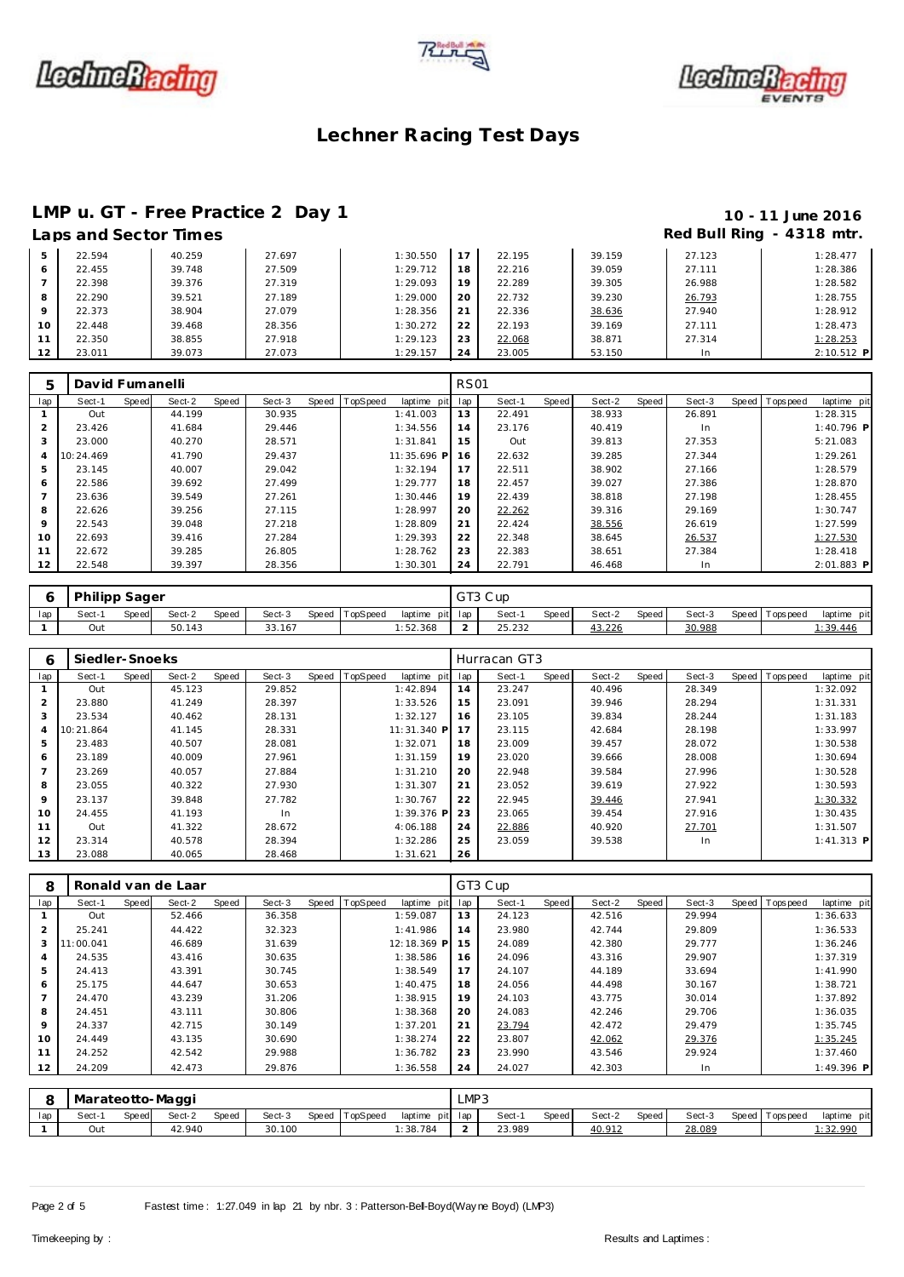





## **LMP u. GT - Free Practice 2 Day 1 10 - 11 June 2016**<br> **10 - 11 June 2016**<br> **19 - 11 Aps and Sector Times**

### **Laps and Sector Times Red Bull Ring - 4318 mtr.**

|         | LADS ANU JEUUN TIINES |        |        |          |    |        |        |        |              |
|---------|-----------------------|--------|--------|----------|----|--------|--------|--------|--------------|
| 5.      | 22.594                | 40.259 | 27.697 | 1:30.550 |    | 22.195 | 39.159 | 27.123 | 1:28.477     |
| 6       | 22.455                | 39.748 | 27.509 | 1:29.712 | 18 | 22.216 | 39.059 | 27.111 | 1:28.386     |
|         | 22.398                | 39.376 | 27.319 | 1:29.093 | 19 | 22.289 | 39.305 | 26.988 | 1:28.582     |
| 8       | 22.290                | 39.521 | 27.189 | 1:29.000 | 20 | 22.732 | 39.230 | 26.793 | 1:28.755     |
| $\circ$ | 22.373                | 38.904 | 27.079 | 1:28.356 |    | 22.336 | 38.636 | 27.940 | 1:28.912     |
| 10      | 22.448                | 39.468 | 28.356 | 1:30.272 | 22 | 22.193 | 39.169 | 27.111 | 1:28.473     |
|         | 22.350                | 38.855 | 27.918 | 1:29.123 | 23 | 22.068 | 38.871 | 27.314 | 1:28.253     |
| 12      | 23.011                | 39.073 | 27.073 | 1:29.157 | 24 | 23.005 | 53.150 | 1n     | $2:10.512$ F |

| 5              | David Fumanelli |       |        |       |        |       |                 |              | <b>RS01</b> |        |       |        |       |        |                  |              |
|----------------|-----------------|-------|--------|-------|--------|-------|-----------------|--------------|-------------|--------|-------|--------|-------|--------|------------------|--------------|
| lap            | Sect-1          | Speed | Sect-2 | Speed | Sect-3 | Speed | <b>TopSpeed</b> | laptime pit  | lap         | Sect-1 | Speed | Sect-2 | Speed | Sect-3 | Speed   Topspeed | laptime pit  |
|                | Out             |       | 44.199 |       | 30.935 |       |                 | 1:41.003     | 13          | 22.491 |       | 38.933 |       | 26.891 |                  | 1:28.315     |
| $\overline{2}$ | 23.426          |       | 41.684 |       | 29.446 |       |                 | 1:34.556     | 14          | 23.176 |       | 40.419 |       | In     |                  | $1:40.796$ P |
| 3              | 23.000          |       | 40.270 |       | 28.571 |       |                 | 1:31.841     | 15          | Out    |       | 39.813 |       | 27.353 |                  | 5:21.083     |
| 4              | 10:24.469       |       | 41.790 |       | 29.437 |       |                 | 11:35.696 PI | 16          | 22.632 |       | 39.285 |       | 27.344 |                  | 1:29.261     |
| 5              | 23.145          |       | 40.007 |       | 29.042 |       |                 | 1:32.194     | 17          | 22.511 |       | 38.902 |       | 27.166 |                  | 1:28.579     |
| 6              | 22.586          |       | 39.692 |       | 27.499 |       |                 | 1:29.777     | 18          | 22.457 |       | 39.027 |       | 27.386 |                  | 1:28.870     |
|                | 23.636          |       | 39.549 |       | 27.261 |       |                 | 1:30.446     | 19          | 22.439 |       | 38.818 |       | 27.198 |                  | 1:28.455     |
| 8              | 22.626          |       | 39.256 |       | 27.115 |       |                 | 1:28.997     | 20          | 22.262 |       | 39.316 |       | 29.169 |                  | 1:30.747     |
| $\circ$        | 22.543          |       | 39.048 |       | 27.218 |       |                 | 1:28.809     | 21          | 22.424 |       | 38.556 |       | 26.619 |                  | 1:27.599     |
| 10             | 22.693          |       | 39.416 |       | 27.284 |       |                 | 1:29.393     | 22          | 22.348 |       | 38.645 |       | 26.537 |                  | 1:27.530     |
| 11             | 22.672          |       | 39.285 |       | 26.805 |       |                 | 1:28.762     | 23          | 22.383 |       | 38.651 |       | 27.384 |                  | 1:28.418     |
| 12             | 22.548          |       | 39.397 |       | 28.356 |       |                 | 1:30.301     | 24          | 22.791 |       | 46.468 |       | In.    |                  | $2:01.883$ P |

|     | Philipp Sager |       |        |       |        |                |         |         | GT3 Cup          |              |        |       |        |                   |                |
|-----|---------------|-------|--------|-------|--------|----------------|---------|---------|------------------|--------------|--------|-------|--------|-------------------|----------------|
| lap | Sect-1        | Speed | Sect-2 | Speed | Sect-3 | Speed TopSpeed | laptime | pit lap | Sect-            | <b>Speed</b> | Sect-2 | Speed | Sect-3 | Speed   Tops peed | laptime<br>pit |
|     | Out           |       | 50.143 |       | 33.167 |                | :52.368 |         | OF 333<br>25.232 |              | 43.226 |       | 30.988 |                   | : 39.446       |

| 6              | Siedler-Snoeks |       |        |       |        |       |          |                 |     | Hurracan GT3 |       |        |       |        |                |              |
|----------------|----------------|-------|--------|-------|--------|-------|----------|-----------------|-----|--------------|-------|--------|-------|--------|----------------|--------------|
| lap            | Sect-1         | Speed | Sect-2 | Speed | Sect-3 | Speed | TopSpeed | laptime<br>pitl | lap | Sect-1       | Speed | Sect-2 | Speed | Sect-3 | Speed Topspeed | laptime pit  |
|                | Out            |       | 45.123 |       | 29.852 |       |          | 1:42.894        | 14  | 23.247       |       | 40.496 |       | 28.349 |                | 1:32.092     |
| $\overline{2}$ | 23.880         |       | 41.249 |       | 28.397 |       |          | 1:33.526        | 15  | 23.091       |       | 39.946 |       | 28.294 |                | 1:31.331     |
| 3              | 23.534         |       | 40.462 |       | 28.131 |       |          | 1:32.127        | 16  | 23.105       |       | 39.834 |       | 28.244 |                | 1:31.183     |
| 4              | 10:21.864      |       | 41.145 |       | 28.331 |       |          | 11:31.340 P     | 17  | 23.115       |       | 42.684 |       | 28.198 |                | 1:33.997     |
| 5              | 23.483         |       | 40.507 |       | 28.081 |       |          | 1:32.071        | 18  | 23.009       |       | 39.457 |       | 28.072 |                | 1:30.538     |
| 6              | 23.189         |       | 40.009 |       | 27.961 |       |          | 1:31.159        | 19  | 23.020       |       | 39.666 |       | 28.008 |                | 1:30.694     |
| $\overline{ }$ | 23.269         |       | 40.057 |       | 27.884 |       |          | 1:31.210        | 20  | 22.948       |       | 39.584 |       | 27.996 |                | 1:30.528     |
| 8              | 23.055         |       | 40.322 |       | 27.930 |       |          | 1:31.307        | 21  | 23.052       |       | 39.619 |       | 27.922 |                | 1:30.593     |
| 9              | 23.137         |       | 39.848 |       | 27.782 |       |          | 1:30.767        | 22  | 22.945       |       | 39.446 |       | 27.941 |                | 1:30.332     |
| 10             | 24.455         |       | 41.193 |       | In.    |       |          | $1:39.376$ P    | 23  | 23.065       |       | 39.454 |       | 27.916 |                | 1:30.435     |
| 11             | Out            |       | 41.322 |       | 28.672 |       |          | 4:06.188        | 24  | 22.886       |       | 40.920 |       | 27.701 |                | 1:31.507     |
| 12             | 23.314         |       | 40.578 |       | 28.394 |       |          | 1:32.286        | 25  | 23.059       |       | 39.538 |       | In.    |                | $1:41.313$ P |
| 13             | 23.088         |       | 40.065 |       | 28.468 |       |          | 1:31.621        | 26  |              |       |        |       |        |                |              |

| 8              |                  |       | Ronald van de Laar |       |        |       |          |             |               | GT3 Cup |              |        |       |        |                |             |
|----------------|------------------|-------|--------------------|-------|--------|-------|----------|-------------|---------------|---------|--------------|--------|-------|--------|----------------|-------------|
| lap            | Sect-1           | Speed | Sect-2             | Speed | Sect-3 | Speed | TopSpeed | laptime pit | lap           | Sect-1  | <b>Speed</b> | Sect-2 | Speed | Sect-3 | Speed Topspeed | laptime pit |
|                | Out              |       | 52.466             |       | 36.358 |       |          | 1:59.087    | 13            | 24.123  |              | 42.516 |       | 29.994 |                | 1:36.633    |
| 2              | 25.241           |       | 44.422             |       | 32.323 |       |          | 1:41.986    | 14            | 23.980  |              | 42.744 |       | 29.809 |                | 1:36.533    |
| 3              | 1:00.041         |       | 46.689             |       | 31.639 |       |          | 12:18.369 P | 15            | 24.089  |              | 42.380 |       | 29.777 |                | 1:36.246    |
| $\overline{4}$ | 24.535           |       | 43.416             |       | 30.635 |       |          | 1:38.586    | 16            | 24.096  |              | 43.316 |       | 29.907 |                | 1:37.319    |
| 5              | 24.413           |       | 43.391             |       | 30.745 |       |          | 1:38.549    | 17            | 24.107  |              | 44.189 |       | 33.694 |                | 1:41.990    |
| 6              | 25.175           |       | 44.647             |       | 30.653 |       |          | 1:40.475    | 18            | 24.056  |              | 44.498 |       | 30.167 |                | 1:38.721    |
| $\overline{7}$ | 24.470           |       | 43.239             |       | 31.206 |       |          | 1:38.915    | 19            | 24.103  |              | 43.775 |       | 30.014 |                | 1:37.892    |
| 8              | 24.451           |       | 43.111             |       | 30.806 |       |          | 1:38.368    | 20            | 24.083  |              | 42.246 |       | 29.706 |                | 1:36.035    |
| 9              | 24.337           |       | 42.715             |       | 30.149 |       |          | 1:37.201    | 21            | 23.794  |              | 42.472 |       | 29.479 |                | 1:35.745    |
| 10             | 24.449           |       | 43.135             |       | 30.690 |       |          | 1:38.274    | 22            | 23.807  |              | 42.062 |       | 29.376 |                | 1:35.245    |
| 11             | 24.252           |       | 42.542             |       | 29.988 |       |          | 1:36.782    | 23            | 23.990  |              | 43.546 |       | 29.924 |                | 1:37.460    |
| 12             | 24.209           |       | 42.473             |       | 29.876 |       |          | 1:36.558    | 24            | 24.027  |              | 42.303 |       | In     |                | 1:49.396 P  |
|                |                  |       |                    |       |        |       |          |             |               |         |              |        |       |        |                |             |
| 8              | Marateotto-Maggi |       |                    |       |        |       |          |             | LMP3          |         |              |        |       |        |                |             |
| lap            | Sect-1           | Speed | Sect-2             | Speed | Sect-3 | Speed | TopSpeed | laptime pit | lap           | Sect-1  | <b>Speed</b> | Sect-2 | Speed | Sect-3 | Speed Topspeed | laptime pit |
|                | Out              |       | 42.940             |       | 30.100 |       |          | 1:38.784    | $\mathcal{P}$ | 23.989  |              | 40.912 |       | 28.089 |                | 1:32.990    |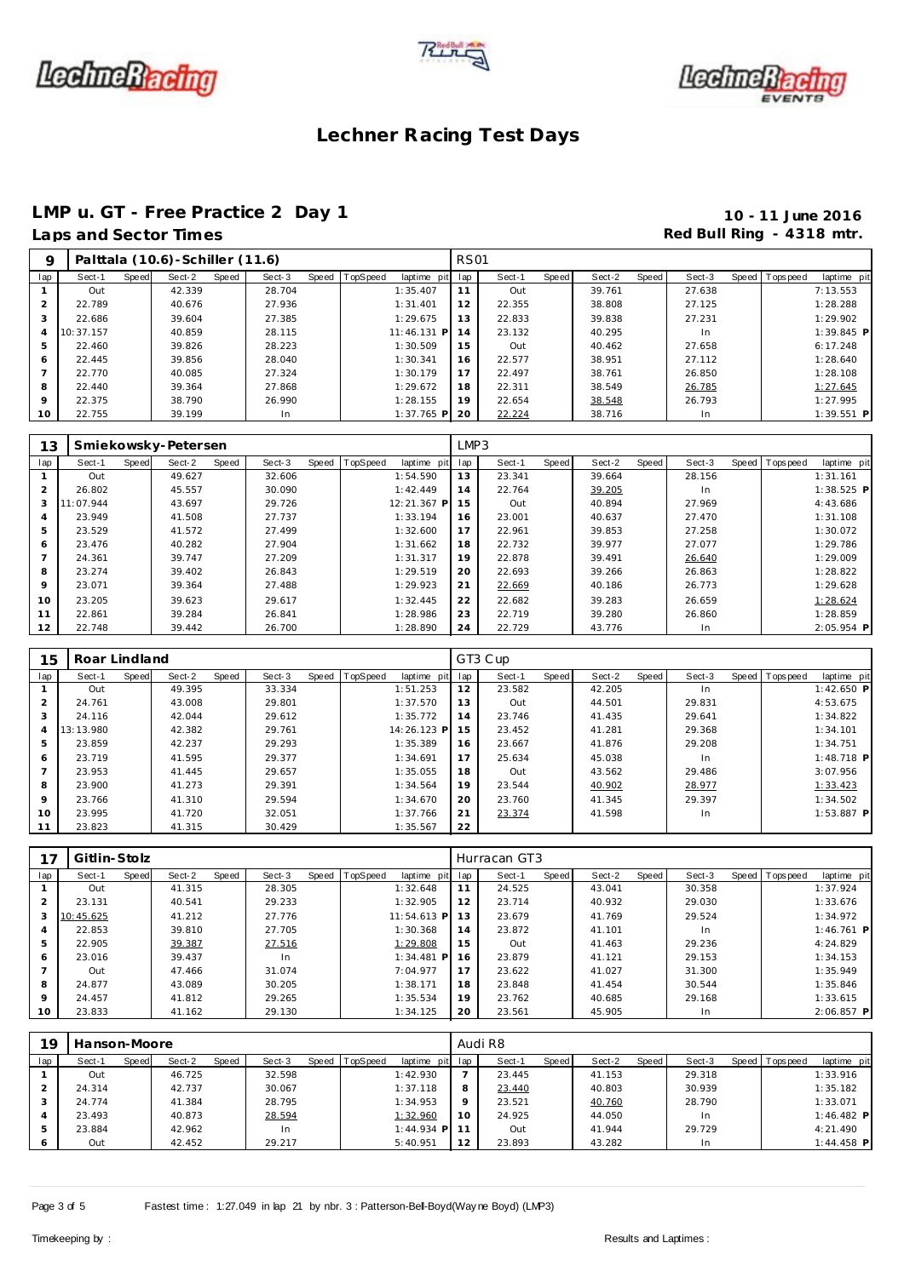





# **LMP u. GT - Free Practice 2 Day 1 10 - 11 June 2016**<br>
Laps and Sector Times **10 - 11 June 2016**

## Red Bull Ring - 4318 mtr.

| O       |           |       | Palttala (10.6) - Schiller (11.6) |       |        |       |          |              | <b>RS01</b> |        |       |        |       |        |                |              |
|---------|-----------|-------|-----------------------------------|-------|--------|-------|----------|--------------|-------------|--------|-------|--------|-------|--------|----------------|--------------|
| lap     | Sect-1    | Speed | Sect-2                            | Speed | Sect-3 | Speed | TopSpeed | laptime pit  | lap         | Sect-1 | Speed | Sect-2 | Speed | Sect-3 | Speed Topspeed | laptime pit  |
|         | Out       |       | 42.339                            |       | 28.704 |       |          | 1:35.407     |             | Out    |       | 39.761 |       | 27.638 |                | 7:13.553     |
|         | 22.789    |       | 40.676                            |       | 27.936 |       |          | 1:31.401     | 12          | 22.355 |       | 38.808 |       | 27.125 |                | 1:28.288     |
|         | 22.686    |       | 39.604                            |       | 27.385 |       |          | 1:29.675     | 13          | 22.833 |       | 39.838 |       | 27.231 |                | 1:29.902     |
| 4       | 10:37.157 |       | 40.859                            |       | 28.115 |       |          | 11:46.131 P  | 14          | 23.132 |       | 40.295 |       | In.    |                | $1:39.845$ P |
| 5       | 22.460    |       | 39.826                            |       | 28.223 |       |          | 1:30.509     | 15          | Out    |       | 40.462 |       | 27.658 |                | 6:17.248     |
| 6       | 22.445    |       | 39.856                            |       | 28.040 |       |          | 1:30.341     | 16          | 22.577 |       | 38.951 |       | 27.112 |                | 1:28.640     |
|         | 22.770    |       | 40.085                            |       | 27.324 |       |          | 1:30.179     | 17          | 22.497 |       | 38.761 |       | 26.850 |                | 1:28.108     |
| 8       | 22.440    |       | 39.364                            |       | 27.868 |       |          | 1:29.672     | 18          | 22.311 |       | 38.549 |       | 26.785 |                | 1:27.645     |
| $\circ$ | 22.375    |       | 38.790                            |       | 26.990 |       |          | 1:28.155     | 19          | 22.654 |       | 38.548 |       | 26.793 |                | 1:27.995     |
| 10      | 22.755    |       | 39.199                            |       | In.    |       |          | $1:37.765$ P | -20         | 22.224 |       | 38.716 |       | In.    |                | $1:39.551$ P |

| 13             |           |       | Smiekowsky-Petersen |       |        |       |          |             | LMP3 |        |       |        |       |        |       |            |              |
|----------------|-----------|-------|---------------------|-------|--------|-------|----------|-------------|------|--------|-------|--------|-------|--------|-------|------------|--------------|
| lap            | Sect-1    | Speed | Sect-2              | Speed | Sect-3 | Speed | TopSpeed | laptime pit | lap  | Sect-1 | Speed | Sect-2 | Speed | Sect-3 | Speed | T ops peed | laptime pit  |
|                | Out       |       | 49.627              |       | 32.606 |       |          | 1:54.590    | 13   | 23.341 |       | 39.664 |       | 28.156 |       |            | 1:31.161     |
| $\overline{2}$ | 26.802    |       | 45.557              |       | 30.090 |       |          | 1:42.449    | 14   | 22.764 |       | 39.205 |       | In.    |       |            | $1:38.525$ P |
| 3              | 11:07.944 |       | 43.697              |       | 29.726 |       |          | 12:21.367 P | 15   | Out    |       | 40.894 |       | 27.969 |       |            | 4:43.686     |
| 4              | 23.949    |       | 41.508              |       | 27.737 |       |          | 1:33.194    | 16   | 23.001 |       | 40.637 |       | 27.470 |       |            | 1:31.108     |
| 5              | 23.529    |       | 41.572              |       | 27.499 |       |          | 1:32.600    | 17   | 22.961 |       | 39.853 |       | 27.258 |       |            | 1:30.072     |
| 6              | 23.476    |       | 40.282              |       | 27.904 |       |          | 1:31.662    | 18   | 22.732 |       | 39.977 |       | 27.077 |       |            | 1:29.786     |
| $\overline{7}$ | 24.361    |       | 39.747              |       | 27.209 |       |          | 1:31.317    | 19   | 22.878 |       | 39.491 |       | 26.640 |       |            | 1:29.009     |
| 8              | 23.274    |       | 39.402              |       | 26.843 |       |          | 1:29.519    | 20   | 22.693 |       | 39.266 |       | 26.863 |       |            | 1:28.822     |
| 9              | 23.071    |       | 39.364              |       | 27.488 |       |          | 1:29.923    | 21   | 22.669 |       | 40.186 |       | 26.773 |       |            | 1:29.628     |
| 10             | 23.205    |       | 39.623              |       | 29.617 |       |          | 1:32.445    | 22   | 22.682 |       | 39.283 |       | 26.659 |       |            | 1:28.624     |
| 11             | 22.861    |       | 39.284              |       | 26.841 |       |          | 1:28.986    | 23   | 22.719 |       | 39.280 |       | 26.860 |       |            | 1:28.859     |
| 12             | 22.748    |       | 39.442              |       | 26.700 |       |          | 1:28.890    | 24   | 22.729 |       | 43.776 |       | In.    |       |            | $2:05.954$ P |

| 15            | Roar Lindland |       |        |       |        |                |             |     | GT3 Cup |       |        |       |           |                  |              |
|---------------|---------------|-------|--------|-------|--------|----------------|-------------|-----|---------|-------|--------|-------|-----------|------------------|--------------|
| lap           | Sect-1        | Speed | Sect-2 | Speed | Sect-3 | Speed TopSpeed | laptime pit | lap | Sect-1  | Speed | Sect-2 | Speed | Sect-3    | Speed   Topspeed | laptime pit  |
|               | Out           |       | 49.395 |       | 33.334 |                | 1:51.253    | 12  | 23.582  |       | 42.205 |       | In        |                  | $1:42.650$ P |
| $\mathcal{P}$ | 24.761        |       | 43.008 |       | 29.801 |                | 1:37.570    | 13  | Out     |       | 44.501 |       | 29.831    |                  | 4:53.675     |
| 3             | 24.116        |       | 42.044 |       | 29.612 |                | 1:35.772    | 14  | 23.746  |       | 41.435 |       | 29.641    |                  | 1:34.822     |
| 4             | 13:13.980     |       | 42.382 |       | 29.761 |                | 14:26.123 P | 15  | 23.452  |       | 41.281 |       | 29.368    |                  | 1:34.101     |
| 5             | 23.859        |       | 42.237 |       | 29.293 |                | 1:35.389    | 16  | 23.667  |       | 41.876 |       | 29.208    |                  | 1:34.751     |
| 6             | 23.719        |       | 41.595 |       | 29.377 |                | 1:34.691    | 17  | 25.634  |       | 45.038 |       | In        |                  | $1:48.718$ P |
|               | 23.953        |       | 41.445 |       | 29.657 |                | 1:35.055    | 18  | Out     |       | 43.562 |       | 29.486    |                  | 3:07.956     |
| 8             | 23.900        |       | 41.273 |       | 29.391 |                | 1:34.564    | 19  | 23.544  |       | 40.902 |       | 28.977    |                  | 1:33.423     |
| 9             | 23.766        |       | 41.310 |       | 29.594 |                | 1:34.670    | 20  | 23.760  |       | 41.345 |       | 29.397    |                  | 1:34.502     |
| 10            | 23.995        |       | 41.720 |       | 32.051 |                | 1:37.766    | 21  | 23.374  |       | 41.598 |       | <b>In</b> |                  | $1:53.887$ P |
| 11            | 23.823        |       | 41.315 |       | 30.429 |                | 1:35.567    | 22  |         |       |        |       |           |                  |              |

|         | Gitlin-Stolz |       |        |       |        |                |                 |    | Hurracan GT3 |       |        |       |        |                  |              |
|---------|--------------|-------|--------|-------|--------|----------------|-----------------|----|--------------|-------|--------|-------|--------|------------------|--------------|
|         |              |       |        |       |        |                |                 |    |              |       |        |       |        |                  |              |
| lap     | Sect-1       | Speed | Sect-2 | Speed | Sect-3 | Speed TopSpeed | laptime pit lap |    | Sect-1       | Speed | Sect-2 | Speed | Sect-3 | Speed   Topspeed | laptime pit  |
|         | Out          |       | 41.315 |       | 28.305 |                | 1:32.648        | 11 | 24.525       |       | 43.041 |       | 30.358 |                  | 1:37.924     |
|         | 23.131       |       | 40.541 |       | 29.233 |                | 1:32.905        | 12 | 23.714       |       | 40.932 |       | 29.030 |                  | 1:33.676     |
| 3       | 10:45.625    |       | 41.212 |       | 27.776 |                | 11:54.613 P     | 13 | 23.679       |       | 41.769 |       | 29.524 |                  | 1:34.972     |
| 4       | 22.853       |       | 39.810 |       | 27.705 |                | 1:30.368        | 14 | 23.872       |       | 41.101 |       | In.    |                  | $1:46.761$ P |
| 5       | 22.905       |       | 39.387 |       | 27.516 |                | 1:29.808        | 15 | Out          |       | 41.463 |       | 29.236 |                  | 4:24.829     |
| 6       | 23.016       |       | 39.437 |       | In.    |                | $1:34.481$ P    | 16 | 23.879       |       | 41.121 |       | 29.153 |                  | 1:34.153     |
|         | Out          |       | 47.466 |       | 31.074 |                | 7:04.977        | 17 | 23.622       |       | 41.027 |       | 31.300 |                  | 1:35.949     |
| 8       | 24.877       |       | 43.089 |       | 30.205 |                | 1:38.171        | 18 | 23.848       |       | 41.454 |       | 30.544 |                  | 1:35.846     |
| $\circ$ | 24.457       |       | 41.812 |       | 29.265 |                | 1:35.534        | 19 | 23.762       |       | 40.685 |       | 29.168 |                  | 1:33.615     |
| 10      | 23.833       |       | 41.162 |       | 29.130 |                | 1:34.125        | 20 | 23.561       |       | 45.905 |       | In.    |                  | $2:06.857$ P |

| 10  | Hanson-Moore |       |        |       |        |                |              |                 | Audi R8 |              |        |       |        |                |              |
|-----|--------------|-------|--------|-------|--------|----------------|--------------|-----------------|---------|--------------|--------|-------|--------|----------------|--------------|
| lap | Sect-1       | Speed | Sect-2 | Speed | Sect-3 | Speed TopSpeed | laptime pit  | lap             | Sect-1  | <b>Speed</b> | Sect-2 | Speed | Sect-3 | Speed Topspeed | laptime pit  |
|     | Out          |       | 46.725 |       | 32.598 |                | 1:42.930     |                 | 23.445  |              | 41.153 |       | 29.318 |                | 1:33.916     |
|     | 24.314       |       | 42.737 |       | 30.067 |                | 1:37.118     | 8               | 23.440  |              | 40.803 |       | 30.939 |                | 1:35.182     |
|     | 24.774       |       | 41.384 |       | 28.795 |                | 1:34.953     | $\circ$         | 23.521  |              | 40.760 |       | 28.790 |                | 1:33.071     |
|     | 23.493       |       | 40.873 |       | 28.594 |                | 1:32.960     | 10 <sup>°</sup> | 24.925  |              | 44.050 |       | In     |                | $1:46.482$ P |
| 5   | 23.884       |       | 42.962 |       | In     |                | $1:44.934$ P |                 | Out     |              | 41.944 |       | 29.729 |                | 4:21.490     |
|     | Out          |       | 42.452 |       | 29.217 |                | 5:40.951     | 12              | 23.893  |              | 43.282 |       | In     |                | $1:44.458$ P |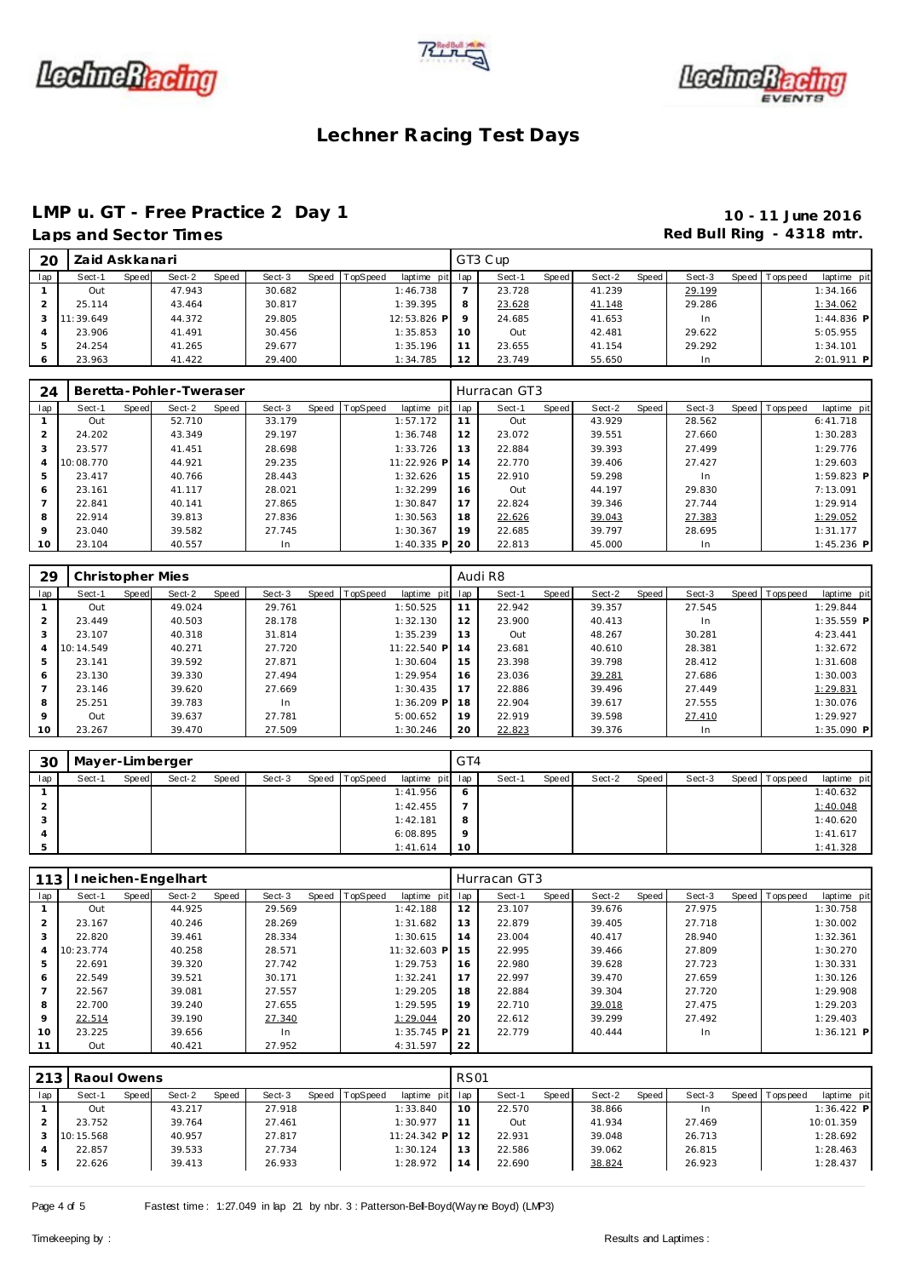





## **LMP u. GT - Free Practice 2 Day 1 10 - 11 June 2016**

## **Lacktries 2018 Manufacturer 19 and Sector Times Red Bull Ring - 4318 mtr.**

| Laps and Sector Time |  |
|----------------------|--|
|----------------------|--|

| 20  | Zaid Askkanari |       |        |       |        |       |          |             |         | GT3 Cup |       |        |       |        |                |              |
|-----|----------------|-------|--------|-------|--------|-------|----------|-------------|---------|---------|-------|--------|-------|--------|----------------|--------------|
| lap | Sect-1         | Speed | Sect-2 | Speed | Sect-3 | Speed | TopSpeed | laptime pit | lap     | Sect-1  | Speed | Sect-2 | Speed | Sect-3 | Speed Topspeed | laptime pit  |
|     | Out            |       | 47.943 |       | 30.682 |       |          | 1:46.738    |         | 23.728  |       | 41.239 |       | 29.199 |                | 1:34.166     |
|     | 25.114         |       | 43.464 |       | 30.817 |       |          | 1:39.395    | 8       | 23.628  |       | 41.148 |       | 29.286 |                | 1:34.062     |
|     | 11:39.649      |       | 44.372 |       | 29.805 |       |          | 12:53.826 P | $\circ$ | 24.685  |       | 41.653 |       | In.    |                | $1:44.836$ P |
|     | 23.906         |       | 41.491 |       | 30.456 |       |          | 1:35.853    | 10      | Out     |       | 42.481 |       | 29.622 |                | 5:05.955     |
| .5  | 24.254         |       | 41.265 |       | 29.677 |       |          | 1:35.196    | 11      | 23.655  |       | 41.154 |       | 29.292 |                | 1:34.101     |
|     | 23.963         |       | 41.422 |       | 29.400 |       |          | 1:34.785    | 12      | 23.749  |       | 55.650 |       | In.    |                | $2:01.911$ P |

| 24      |           |       | Beretta-Pohler-Tweraser |       |        |                  |              |     | Hurracan GT3 |       |        |       |        |                |              |  |
|---------|-----------|-------|-------------------------|-------|--------|------------------|--------------|-----|--------------|-------|--------|-------|--------|----------------|--------------|--|
| lap     | Sect-1    | Speed | Sect-2                  | Speed | Sect-3 | Speed   TopSpeed | laptime pit  | lap | Sect-1       | Speed | Sect-2 | Speed | Sect-3 | Speed Topspeed | laptime pit  |  |
|         | Out       |       | 52.710                  |       | 33.179 |                  | 1:57.172     | 11  | Out          |       | 43.929 |       | 28.562 |                | 6: 41.718    |  |
|         | 24.202    |       | 43.349                  |       | 29.197 |                  | 1:36.748     | 12  | 23.072       |       | 39.551 |       | 27.660 |                | 1:30.283     |  |
| 3       | 23.577    |       | 41.451                  |       | 28.698 |                  | 1:33.726     | 13  | 22.884       |       | 39.393 |       | 27.499 |                | 1:29.776     |  |
| 4       | 10:08.770 |       | 44.921                  |       | 29.235 |                  | 11:22.926 P  | 14  | 22.770       |       | 39.406 |       | 27.427 |                | 1:29.603     |  |
| 5       | 23.417    |       | 40.766                  |       | 28.443 |                  | 1:32.626     | 15  | 22.910       |       | 59.298 |       | In.    |                | $1:59.823$ P |  |
| 6       | 23.161    |       | 41.117                  |       | 28.021 |                  | 1:32.299     | 16  | Out          |       | 44.197 |       | 29.830 |                | 7:13.091     |  |
|         | 22.841    |       | 40.141                  |       | 27.865 |                  | 1:30.847     | 17  | 22.824       |       | 39.346 |       | 27.744 |                | 1:29.914     |  |
| 8       | 22.914    |       | 39.813                  |       | 27.836 |                  | 1:30.563     | 18  | 22.626       |       | 39.043 |       | 27.383 |                | 1:29.052     |  |
| $\circ$ | 23.040    |       | 39.582                  |       | 27.745 |                  | 1:30.367     | 19  | 22.685       |       | 39.797 |       | 28.695 |                | 1:31.177     |  |
| 10      | 23.104    |       | 40.557                  |       | In.    |                  | $1:40.335$ P | 20  | 22.813       |       | 45.000 |       | In.    |                | $1:45.236$ P |  |

| 29             | Christopher Mies |       |        |       |        |                |                 |    | Audi R8 |       |        |       |        |                |              |
|----------------|------------------|-------|--------|-------|--------|----------------|-----------------|----|---------|-------|--------|-------|--------|----------------|--------------|
| lap            | Sect-1           | Speed | Sect-2 | Speed | Sect-3 | Speed TopSpeed | laptime pit lap |    | Sect-1  | Speed | Sect-2 | Speed | Sect-3 | Speed Topspeed | laptime pit  |
|                | Out              |       | 49.024 |       | 29.761 |                | 1:50.525        | 11 | 22.942  |       | 39.357 |       | 27.545 |                | 1:29.844     |
| 2              | 23.449           |       | 40.503 |       | 28.178 |                | 1:32.130        | 12 | 23.900  |       | 40.413 |       | In.    |                | $1:35.559$ P |
| 3              | 23.107           |       | 40.318 |       | 31.814 |                | 1:35.239        | 13 | Out     |       | 48.267 |       | 30.281 |                | 4:23.441     |
| $\overline{4}$ | 10:14.549        |       | 40.271 |       | 27.720 |                | 11:22.540 P     | 14 | 23.681  |       | 40.610 |       | 28.381 |                | 1:32.672     |
| 5              | 23.141           |       | 39.592 |       | 27.871 |                | 1:30.604        | 15 | 23.398  |       | 39.798 |       | 28.412 |                | 1:31.608     |
| 6              | 23.130           |       | 39.330 |       | 27.494 |                | 1:29.954        | 16 | 23.036  |       | 39.281 |       | 27.686 |                | 1:30.003     |
|                | 23.146           |       | 39.620 |       | 27.669 |                | 1:30.435        | 17 | 22.886  |       | 39.496 |       | 27.449 |                | 1:29.831     |
| 8              | 25.251           |       | 39.783 |       | In     |                | $1:36.209$ P    | 18 | 22.904  |       | 39.617 |       | 27.555 |                | 1:30.076     |
| $\mathsf Q$    | Out              |       | 39.637 |       | 27.781 |                | 5:00.652        | 19 | 22.919  |       | 39.598 |       | 27.410 |                | 1:29.927     |
| 10             | 23.267           |       | 39.470 |       | 27.509 |                | 1:30.246        | 20 | 22.823  |       | 39.376 |       | In.    |                | $1:35.090$ P |

| 30  | Mayer-Limberger |       |        |       |        |                |                 | GT4     |        |       |        |       |        |                 |             |
|-----|-----------------|-------|--------|-------|--------|----------------|-----------------|---------|--------|-------|--------|-------|--------|-----------------|-------------|
| lap | Sect-1          | Speed | Sect-2 | Speed | Sect-3 | Speed TopSpeed | laptime pit lap |         | Sect-1 | Speed | Sect-2 | Speed | Sect-3 | Speed Tops peed | laptime pit |
|     |                 |       |        |       |        |                | 1:41.956        | 6       |        |       |        |       |        |                 | 1:40.632    |
|     |                 |       |        |       |        |                | 1:42.455        |         |        |       |        |       |        |                 | 1:40.048    |
|     |                 |       |        |       |        |                | 1:42.181        | 8       |        |       |        |       |        |                 | 1:40.620    |
|     |                 |       |        |       |        |                | 6:08.895        | $\circ$ |        |       |        |       |        |                 | 1:41.617    |
|     |                 |       |        |       |        |                | 1:41.614        | 10      |        |       |        |       |        |                 | 1:41.328    |

| 113            |           |       | neichen-Engelhart |       |        |                |              |     | Hurracan GT3 |       |        |       |        |                |              |
|----------------|-----------|-------|-------------------|-------|--------|----------------|--------------|-----|--------------|-------|--------|-------|--------|----------------|--------------|
| lap            | Sect-1    | Speed | Sect-2            | Speed | Sect-3 | Speed TopSpeed | laptime pit  | lap | Sect-1       | Speed | Sect-2 | Speed | Sect-3 | Speed Topspeed | laptime pit  |
|                | Out       |       | 44.925            |       | 29.569 |                | 1:42.188     | 12  | 23.107       |       | 39.676 |       | 27.975 |                | 1:30.758     |
| $\overline{2}$ | 23.167    |       | 40.246            |       | 28.269 |                | 1:31.682     | 13  | 22.879       |       | 39.405 |       | 27.718 |                | 1:30.002     |
| 3              | 22.820    |       | 39.461            |       | 28.334 |                | 1:30.615     | 14  | 23.004       |       | 40.417 |       | 28.940 |                | 1:32.361     |
| $\overline{4}$ | 10:23.774 |       | 40.258            |       | 28.571 |                | 11:32.603 P  | 15  | 22.995       |       | 39.466 |       | 27.809 |                | 1:30.270     |
| 5              | 22.691    |       | 39.320            |       | 27.742 |                | 1:29.753     | 16  | 22.980       |       | 39.628 |       | 27.723 |                | 1:30.331     |
| 6              | 22.549    |       | 39.521            |       | 30.171 |                | 1:32.241     | 17  | 22.997       |       | 39.470 |       | 27.659 |                | 1:30.126     |
|                | 22.567    |       | 39.081            |       | 27.557 |                | 1:29.205     | 18  | 22.884       |       | 39.304 |       | 27.720 |                | 1:29.908     |
| 8              | 22.700    |       | 39.240            |       | 27.655 |                | 1:29.595     | 19  | 22.710       |       | 39.018 |       | 27.475 |                | 1:29.203     |
| 9              | 22.514    |       | 39.190            |       | 27.340 |                | 1:29.044     | 20  | 22.612       |       | 39.299 |       | 27.492 |                | 1:29.403     |
| 10             | 23.225    |       | 39.656            |       | In     |                | $1:35.745$ P | 21  | 22.779       |       | 40.444 |       | In.    |                | $1:36.121$ P |
| 11             | Out       |       | 40.421            |       | 27.952 |                | 4:31.597     | 22  |              |       |        |       |        |                |              |

|     | 213 Raoul Owens |       |        |       |        |       |          |               | <b>RS01</b> |        |       |        |       |        |       |           |              |
|-----|-----------------|-------|--------|-------|--------|-------|----------|---------------|-------------|--------|-------|--------|-------|--------|-------|-----------|--------------|
| lap | Sect-1          | Speed | Sect-2 | Speed | Sect-3 | Speed | TopSpeed | laptime pit   | lap         | Sect-1 | Speed | Sect-2 | Speed | Sect-3 | Speed | Tops peed | laptime pit  |
|     | Out             |       | 43.217 |       | 27.918 |       |          | 1:33.840      | 10          | 22.570 |       | 38.866 |       | In.    |       |           | $1:36.422$ P |
|     | 23.752          |       | 39.764 |       | 27.461 |       |          | 1:30.977      | 11          | Out    |       | 41.934 |       | 27.469 |       |           | 10:01.359    |
|     | 10:15.568       |       | 40.957 |       | 27.817 |       |          | $11:24.342$ P | 12          | 22.931 |       | 39.048 |       | 26.713 |       |           | 1:28.692     |
|     | 22.857          |       | 39.533 |       | 27.734 |       |          | 1:30.124      | 13          | 22.586 |       | 39.062 |       | 26.815 |       |           | 1:28.463     |
|     | 22.626          |       | 39.413 |       | 26.933 |       |          | 1:28.972      | 14          | 22.690 |       | 38.824 |       | 26.923 |       |           | 1:28.437     |